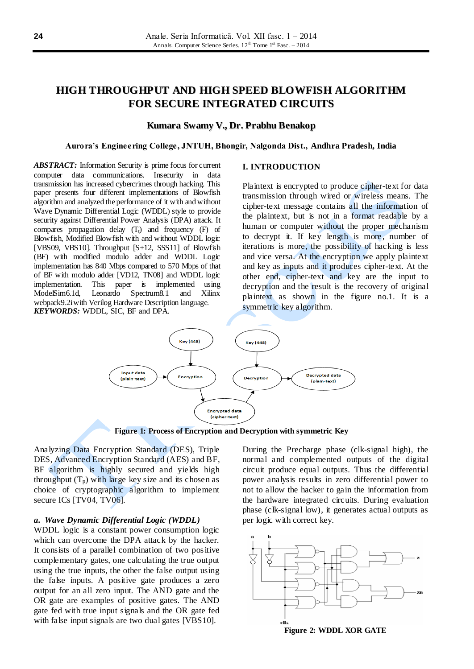# **HIGH THROUGHPUT AND HIGH SPEED BLOWFISH ALGORITHM FOR SECURE INTEGRATED CIRCUITS**

# **Kumara Swamy V., Dr. Prabhu Benakop**

#### **Aurora's Engineering College, JNTUH, Bhongir, Nalgonda Dist., Andhra Pradesh, India**

*ABSTRACT:* Information Security is prime focus for current computer data communications. Insecurity in data transmission has increased cybercrimes through hacking. This paper presents four different implementations of Blowfish algorithm and analyzed the performance of it with and without Wave Dynamic Differential Logic (WDDL) style to provide security against Differential Power Analysis (DPA) attack. It compares propagation delay  $(T_t)$  and frequency  $(F)$  of Blowfish, Modified Blowfish with and without WDDL logic [VBS09, VBS10]. Throughput [S+12, SSS11] of Blowfish (BF) with modified modulo adder and WDDL Logic implementation has 840 Mbps compared to 570 Mbps of that of BF with modulo adder [VD12, TN08] and WDDL logic implementation. This paper is implemented using ModelSim6.1d, Leonardo Spectrum8.1 and Xilinx webpack9.2i with Verilog Hardware Description language. *KEYWORDS:* WDDL, SIC, BF and DPA.

#### **I. INTRODUCTION**

Plaintext is encrypted to produce cipher-text for data transmission through wired or wireless means. The cipher-text message contains all the information of the plaintext, but is not in a format readable by a human or computer without the proper mechanism to decrypt it. If key length is more, number of iterations is more, the possibility of hacking is less and vice versa. At the encryption we apply plaintext and key as inputs and it produces cipher-text. At the other end, cipher-text and key are the input to decryption and the result is the recovery of original plaintext as shown in the figure no.1. It is a symmetric key algorithm.



**Figure 1: Process of Encryption and Decryption with symmetric Key**

Analyzing Data Encryption Standard (DES), Triple DES, Advanced Encryption Standard (AES) and BF, BF algorithm is highly secured and yields high throughput  $(T_p)$  with large key size and its chosen as choice of cryptographic algorithm to implement secure ICs [TV04, TV06].

## *a. Wave Dynamic Differential Logic (WDDL)*

WDDL logic is a constant power consumption logic which can overcome the DPA attack by the hacker. It consists of a parallel combination of two positive complementary gates, one calculating the true output using the true inputs, the other the false output using the false inputs. A positive gate produces a zero output for an all zero input. The AND gate and the OR gate are examples of positive gates. The AND gate fed with true input signals and the OR gate fed with false input signals are two dual gates [VBS10].

During the Precharge phase (clk-signal high), the normal and complemented outputs of the digital circuit produce equal outputs. Thus the differential power analysis results in zero differential power to not to allow the hacker to gain the information from the hardware integrated circuits. During evaluation phase (clk-signal low), it generates actual outputs as per logic with correct key.

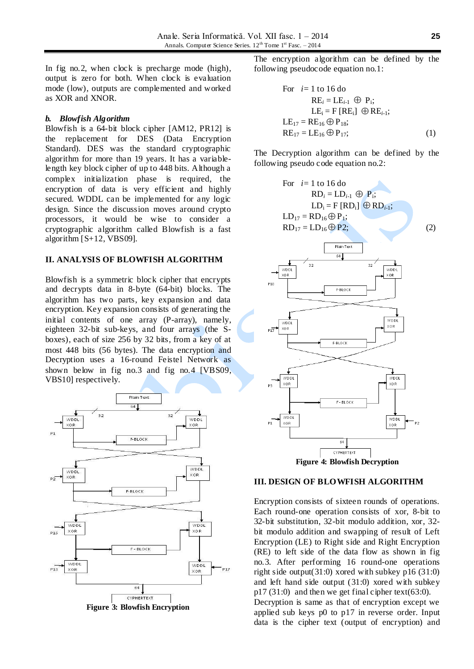In fig no.2, when clock is precharge mode (high), output is zero for both. When clock is evaluation mode (low), outputs are complemented and worked as XOR and XNOR.

#### *b. Blowfish Algorithm*

Blowfish is a 64-bit block cipher [AM12, PR12] is the replacement for DES (Data Encryption Standard). DES was the standard cryptographic algorithm for more than 19 years. It has a variablelength key block cipher of up to 448 bits. Although a complex initialization phase is required, the encryption of data is very efficient and highly secured. WDDL can be implemented for any logic design. Since the discussion moves around crypto processors, it would be wise to consider a cryptographic algorithm called Blowfish is a fast algorithm [S+12, VBS09].

### **II. ANALYSIS OF BLOWFISH ALGORITHM**

Blowfish is a symmetric block cipher that encrypts and decrypts data in 8-byte (64-bit) blocks. The algorithm has two parts, key expansion and data encryption. Key expansion consists of generating the initial contents of one array (P-array), namely, eighteen 32-bit sub-keys, and four arrays (the Sboxes), each of size 256 by 32 bits, from a key of at most 448 bits (56 bytes). The data encryption and Decryption uses a 16-round Feistel Network as shown below in fig no.3 and fig no.4 [VBS09, VBS10] respectively.



The encryption algorithm can be defined by the following pseudocode equation no.1:

For 
$$
i=1
$$
 to 16 do  
\nRE<sub>i</sub> = LE<sub>i-1</sub>  $\oplus$  P<sub>i</sub>;  
\nLE<sub>i</sub> = F [RE<sub>i</sub>]  $\oplus$  RE<sub>i-1</sub>;  
\nLE<sub>17</sub> = RE<sub>16</sub>  $\oplus$  P<sub>18</sub>;  
\nRE<sub>17</sub> = LE<sub>16</sub>  $\oplus$  P<sub>17</sub>; (1)

The Decryption algorithm can be defined by the following pseudo code equation no.2:



**Figure 4: Blowfish Decryption**

#### **III. DESIGN OF BLOWFISH ALGORITHM**

Encryption consists of sixteen rounds of operations. Each round-one operation consists of xor, 8-bit to 32-bit substitution, 32-bit modulo addition, xor, 32 bit modulo addition and swapping of result of Left Encryption (LE) to Right side and Right Encryption (RE) to left side of the data flow as shown in fig no.3. After performing 16 round-one operations right side output(31:0) xored with subkey p16 (31:0) and left hand side output (31:0) xored with subkey  $p17 (31:0)$  and then we get final cipher text(63:0).

Decryption is same as that of encryption except we applied sub keys p0 to p17 in reverse order. Input data is the cipher text (output of encryption) and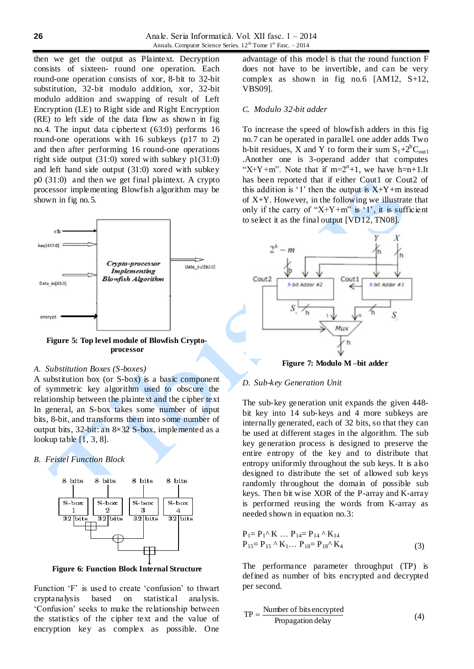then we get the output as Plaintext. Decryption consists of sixteen- round one operation. Each round-one operation consists of xor, 8-bit to 32-bit substitution, 32-bit modulo addition, xor, 32-bit modulo addition and swapping of result of Left Encryption (LE) to Right side and Right Encryption (RE) to left side of the data flow as shown in fig no.4. The input data ciphertext (63:0) performs 16 round-one operations with 16 subkeys (p17 to 2) and then after performing 16 round-one operations right side output (31:0) xored with subkey p1(31:0) and left hand side output (31:0) xored with subkey p0 (31:0) and then we get final plaintext. A crypto processor implementing Blowfish algorithm may be shown in fig no. 5.



**Figure 5: Top level module of Blowfish Cryptoprocessor**

#### *A. Substitution Boxes (S-boxes)*

A substitution box (or S-box) is a basic component of symmetric key algorithm used to obscure the relationship between the plaintext and the cipher text In general, an S-box takes some number of input bits, 8-bit, and transforms them into some number of output bits, 32-bit: an 8×32 S-box, implemented as a lookup table  $[1, 3, 8]$ .

*B. Feistel Function Block*



**Figure 6: Function Block Internal Structure**

Function 'F' is used to create 'confusion' to thwart cryptanalysis based on statistical analysis. "Confusion" seeks to make the relationship between the statistics of the cipher text and the value of encryption key as complex as possible. One

advantage of this model is that the round function F does not have to be invertible, and can be very complex as shown in fig no.6 [AM12, S+12, VBS09].

#### *C. Modulo 32-bit adder*

To increase the speed of blowfish adders in this fig no.7 can be operated in parallel. one adder adds Two h-bit residues, X and Y to form their sum  $S_1+2^hC_{\text{out}1}$ .Another one is 3-operand adder that computes "X+Y+m". Note that if  $m=2^n+1$ , we have h=n+1.It has been reported that if either Cout1 or Cout2 of this addition is '1' then the output is  $X+Y+m$  instead of  $X+Y$ . However, in the following we illustrate that only if the carry of "X+Y+m" is '1', it is sufficient to select it as the final output [VD12, TN08].



**Figure 7: Modulo M –bit adder**

#### *D. Sub-key Generation Unit*

The sub-key generation unit expands the given 448 bit key into 14 sub-keys and 4 more subkeys are internally generated, each of 32 bits, so that they can be used at different stages in the algorithm. The sub key generation process is designed to preserve the entire entropy of the key and to distribute that entropy uniformly throughout the sub keys. It is also designed to distribute the set of allowed sub keys randomly throughout the domain of possible sub keys. Then bit wise XOR of the P-array and K-array is performed reusing the words from K-array as needed shown in equation no.3:

$$
P_1 = P_1^{\wedge} K \dots P_{14} = P_{14}^{\wedge} K_{14}
$$
  
\n
$$
P_{15} = P_{15}^{\wedge} K_1 \dots P_{18} = P_{18}^{\wedge} K_4
$$
 (3)

The performance parameter throughput (TP) is defined as number of bits encrypted and decrypted per second.

$$
TP = \frac{Number of bits encrypted \text{Propagation delay}}{\text{Propagation delay}}
$$
 (4)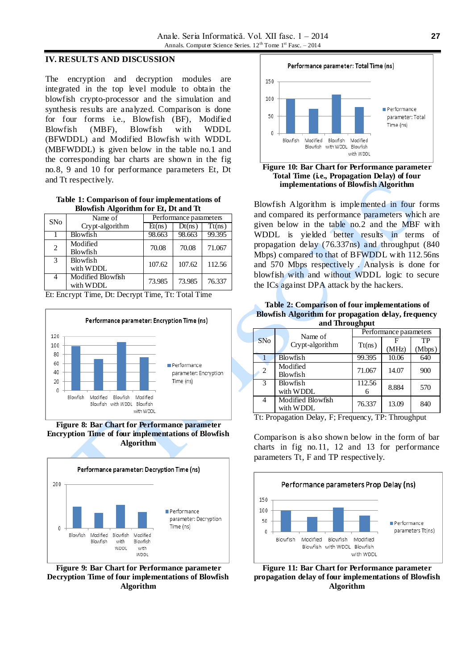# **IV. RESULTS AND DISCUSSION**

The encryption and decryption modules are integrated in the top level module to obtain the blowfish crypto-processor and the simulation and synthesis results are analyzed. Comparison is done for four forms i.e., Blowfish (BF), Modified Blowfish (MBF), Blowfish with WDDL (BFWDDL) and Modified Blowfish with WDDL (MBFWDDL) is given below in the table no.1 and the corresponding bar charts are shown in the fig no.8, 9 and 10 for performance parameters Et, Dt and Tt respectively.

**Table 1: Comparison of four implementations of Blowfish Algorithm for Et, Dt and Tt**

| <b>SNo</b> | Name of                        | Performance parameters |        |        |
|------------|--------------------------------|------------------------|--------|--------|
|            | Crypt-algorithm                | Et(ns)                 | Dt(ns) | Tt(ns) |
|            | <b>Blowfish</b>                | 98.663                 | 98.663 | 99.395 |
| 2          | Modified<br>Blowfish           | 70.08                  | 70.08  | 71.067 |
| 3          | Blowfish<br>with WDDL          | 107.62                 | 107.62 | 112.56 |
| 4          | Modified Blowfish<br>with WDDL | 73.985                 | 73.985 | 76.337 |

Et: Encrypt Time, Dt: Decrypt Time, Tt: Total Time



**Figure 8: Bar Chart for Performance parameter Encryption Time of four implementations of Blowfish Algorithm**



**Figure 9: Bar Chart for Performance parameter Decryption Time of four implementations of Blowfish Algorithm**



**Figure 10: Bar Chart for Performance parameter Total Time (i.e., Propagation Delay) of four implementations of Blowfish Algorithm**

Blowfish Algorithm is implemented in four forms and compared its performance parameters which are given below in the table no.2 and the MBF with WDDL is yielded better results in terms of propagation delay (76.337ns) and throughput (840 Mbps) compared to that of BFWDDL with 112.56ns and 570 Mbps respectively . Analysis is done for blowfish with and without WDDL logic to secure the ICs against DPA attack by the hackers.

| Table 2: Comparison of four implementations of |  |  |                                                            |  |  |  |
|------------------------------------------------|--|--|------------------------------------------------------------|--|--|--|
|                                                |  |  | <b>Blowfish Algorithm for propagation delay, frequency</b> |  |  |  |
| and Throughput                                 |  |  |                                                            |  |  |  |

|  |                | Name of           | Performance parameters |       |        |  |  |
|--|----------------|-------------------|------------------------|-------|--------|--|--|
|  | <b>SNo</b>     | Crypt-algorithm   | Tt(ns)                 |       | TP     |  |  |
|  |                |                   |                        | (MHz) | (Mbps) |  |  |
|  |                | Blowfish          | 99.395                 | 10.06 | 640    |  |  |
|  | $\overline{2}$ | Modified          | 71.067<br>14.07        |       | 900    |  |  |
|  |                | <b>Blowfish</b>   |                        |       |        |  |  |
|  | $\mathcal{R}$  | <b>Blowfish</b>   | 112.56                 | 8.884 | 570    |  |  |
|  |                | with WDDL         | 6                      |       |        |  |  |
|  | $\overline{4}$ | Modified Blowfish | 76.337                 | 13.09 | 840    |  |  |
|  |                | with WDDL         |                        |       |        |  |  |

Tt: Propagation Delay, F; Frequency, TP: Throughput

Comparison is also shown below in the form of bar charts in fig no.11, 12 and 13 for performance parameters Tt, F and TP respectively.



**Figure 11: Bar Chart for Performance parameter propagation delay of four implementations of Blowfish Algorithm**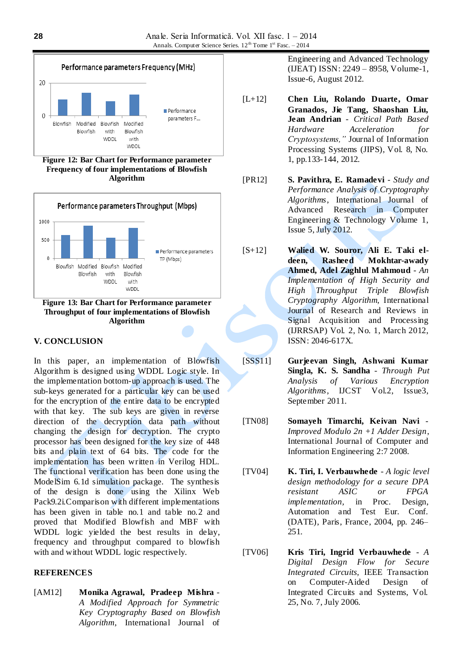

**Figure 12: Bar Chart for Performance parameter Frequency of four implementations of Blowfish Algorithm** 



**Figure 13: Bar Chart for Performance parameter Throughput of four implementations of Blowfish Algorithm**

# **V. CONCLUSION**

In this paper, an implementation of Blowfish Algorithm is designed using WDDL Logic style. In the implementation bottom-up approach is used. The sub-keys generated for a particular key can be used for the encryption of the entire data to be encrypted with that key. The sub keys are given in reverse direction of the decryption data path without changing the design for decryption. The crypto processor has been designed for the key size of 448 bits and plain text of 64 bits. The code for the implementation has been written in Verilog HDL. The functional verification has been done using the ModelSim 6.1d simulation package. The synthesis of the design is done using the Xilinx Web Pack9.2i.Comparison with different implementations has been given in table no.1 and table no.2 and proved that Modified Blowfish and MBF with WDDL logic yielded the best results in delay, frequency and throughput compared to blowfish with and without WDDL logic respectively.

## **REFERENCES**

[AM12] **Monika Agrawal, Pradeep Mishra** - *A Modified Approach for Symmetric Key Cryptography Based on Blowfish Algorithm*, International Journal of

Engineering and Advanced Technology (IJEAT) ISSN: 2249 – 8958, Volume-1, Issue-6, August 2012.

- [L+12] **Chen Liu, Rolando Duarte, Omar Granados, Jie Tang, Shaoshan Liu, Jean Andrian** - *Critical Path Based Hardware Acceleration for Cryptosystems,"* Journal of Information Processing Systems (JIPS), Vol. 8, No. 1, pp.133-144, 2012.
- [PR12] **S. Pavithra, E. Ramadevi** *Study and Performance Analysis of Cryptography Algorithms*, International Journal of Advanced Research in Computer Engineering & Technology Volume 1, Issue 5, July 2012.
- [S+12] **Walied W. Souror, Ali E. Taki eldeen, Rasheed Mokhtar-awady Ahmed, Adel Zaghlul Mahmoud** - *An Implementation of High Security and High Throughput Triple Blowfish Cryptography Algorithm*, International Journal of Research and Reviews in Signal Acquisition and Processing (IJRRSAP) Vol. 2, No. 1, March 2012, ISSN: 2046-617X.
- [SSS11] **Gurjeevan Singh, Ashwani Kumar Singla, K. S. Sandha** - *Through Put Analysis of Various Encryption Algorithms*, IJCST Vol.2, Issue3, September 2011.
- [TN08] **Somayeh Timarchi, Keivan Navi** *Improved Modulo 2n +1 Adder Design*, International Journal of Computer and Information Engineering 2:7 2008.
- [TV04] **K. Tiri, I. Verbauwhede** *A logic level design methodology for a secure DPA resistant ASIC or FPGA implementation,* in Proc. Design, Automation and Test Eur. Conf. (DATE), Paris, France, 2004, pp. 246– 251.
- [TV06] **Kris Tiri, Ingrid Verbauwhede** *A Digital Design Flow for Secure Integrated Circuits,* IEEE Transaction on Computer-Aided Design of Integrated Circuits and Systems, Vol. 25, No. 7, July 2006.